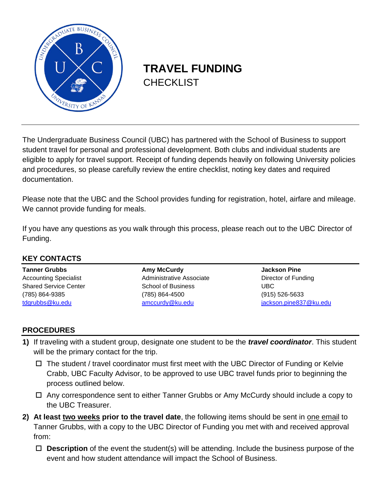

## **TRAVEL FUNDING CHECKLIST**

The Undergraduate Business Council (UBC) has partnered with the School of Business to support student travel for personal and professional development. Both clubs and individual students are eligible to apply for travel support. Receipt of funding depends heavily on following University policies and procedures, so please carefully review the entire checklist, noting key dates and required documentation.

Please note that the UBC and the School provides funding for registration, hotel, airfare and mileage. We cannot provide funding for meals.

If you have any questions as you walk through this process, please reach out to the UBC Director of Funding.

| <b>KEY CONTACTS</b>          |                           |                        |  |  |  |  |  |  |
|------------------------------|---------------------------|------------------------|--|--|--|--|--|--|
| <b>Tanner Grubbs</b>         | <b>Amy McCurdy</b>        | <b>Jackson Pine</b>    |  |  |  |  |  |  |
| <b>Accounting Specialist</b> | Administrative Associate  | Director of Funding    |  |  |  |  |  |  |
| <b>Shared Service Center</b> | <b>School of Business</b> | UBC.                   |  |  |  |  |  |  |
| (785) 864-9385               | (785) 864-4500            | $(915) 526 - 5633$     |  |  |  |  |  |  |
| tdgrubbs@ku.edu              | amccurdy@ku.edu           | jackson.pine837@ku.edu |  |  |  |  |  |  |

## **PROCEDURES**

- **1)** If traveling with a student group, designate one student to be the *travel coordinator*. This student will be the primary contact for the trip.
	- $\Box$  The student / travel coordinator must first meet with the UBC Director of Funding or Kelvie Crabb, UBC Faculty Advisor, to be approved to use UBC travel funds prior to beginning the process outlined below.
	- □ Any correspondence sent to either Tanner Grubbs or Amy McCurdy should include a copy to the UBC Treasurer.
- **2) At least two weeks prior to the travel date**, the following items should be sent in one email to Tanner Grubbs, with a copy to the UBC Director of Funding you met with and received approval from:
	- **Description** of the event the student(s) will be attending. Include the business purpose of the event and how student attendance will impact the School of Business.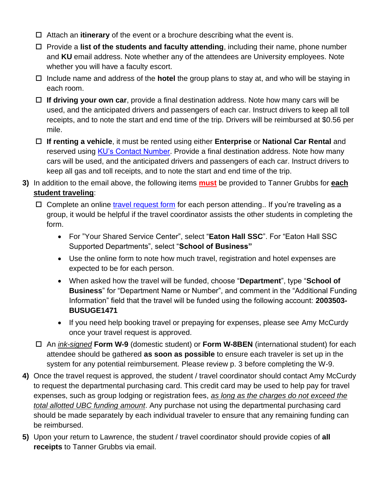- Attach an **itinerary** of the event or a brochure describing what the event is.
- □ Provide a **list of the students and faculty attending**, including their name, phone number and **KU** email address. Note whether any of the attendees are University employees. Note whether you will have a faculty escort.
- Include name and address of the **hotel** the group plans to stay at, and who will be staying in each room.
- **If driving your own car**, provide a final destination address. Note how many cars will be used, and the anticipated drivers and passengers of each car. Instruct drivers to keep all toll receipts, and to note the start and end time of the trip. Drivers will be reimbursed at \$0.56 per mile.
- **If renting a vehicle**, it must be rented using either **Enterprise** or **National Car Rental** and reserved using [KU's Contact Number.](https://procurement.ku.edu/enterprise-and-national-car-rental-benefits) Provide a final destination address. Note how many cars will be used, and the anticipated drivers and passengers of each car. Instruct drivers to keep all gas and toll receipts, and to note the start and end time of the trip.
- **3)** In addition to the email above, the following items **must** be provided to Tanner Grubbs for **each student traveling**:
	- $\Box$  Complete an online [travel request form](https://deptsec.ku.edu/~ssc/forms/form/1) for each person attending.. If you're traveling as a group, it would be helpful if the travel coordinator assists the other students in completing the form.
		- For "Your Shared Service Center", select "**Eaton Hall SSC**". For "Eaton Hall SSC Supported Departments", select "**School of Business"**
		- Use the online form to note how much travel, registration and hotel expenses are expected to be for each person.
		- When asked how the travel will be funded, choose "**Department**", type "**School of Business**" for "Department Name or Number", and comment in the "Additional Funding Information" field that the travel will be funded using the following account: **2003503- BUSUGE1471**
		- If you need help booking travel or prepaying for expenses, please see Amy McCurdy once your travel request is approved.
	- An *ink-signed* **Form W-9** (domestic student) or **Form W-8BEN** (international student) for each attendee should be gathered **as soon as possible** to ensure each traveler is set up in the system for any potential reimbursement. Please review p. 3 before completing the W-9.
- **4)** Once the travel request is approved, the student / travel coordinator should contact Amy McCurdy to request the departmental purchasing card. This credit card may be used to help pay for travel expenses, such as group lodging or registration fees, *as long as the charges do not exceed the total allotted UBC funding amount*. Any purchase not using the departmental purchasing card should be made separately by each individual traveler to ensure that any remaining funding can be reimbursed.
- **5)** Upon your return to Lawrence, the student / travel coordinator should provide copies of **all receipts** to Tanner Grubbs via email.